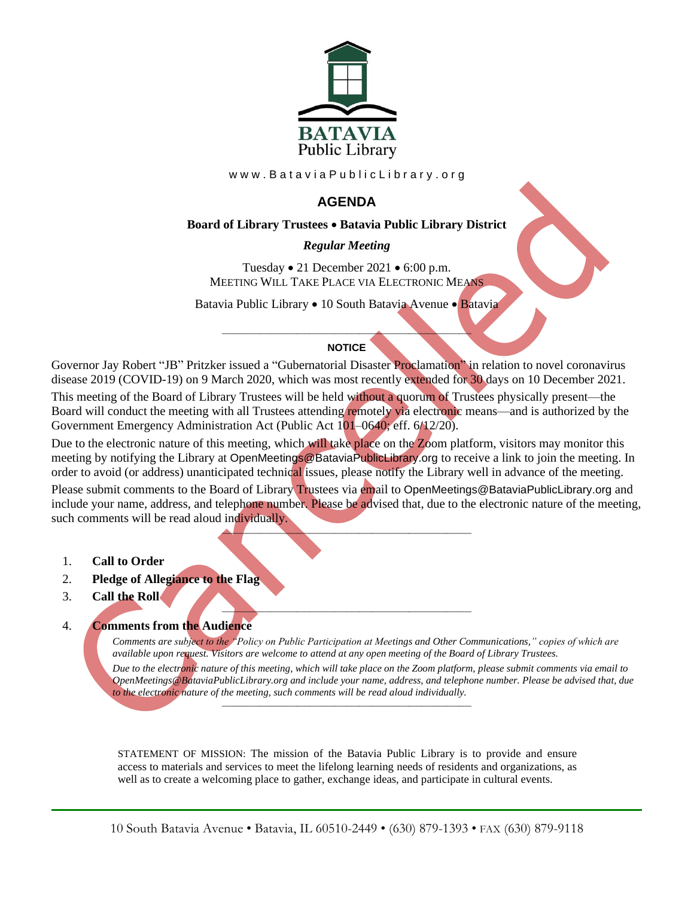

www.BataviaPublicLibrary.org

# **AGENDA**

### **Board of Library Trustees** • **Batavia Public Library District**

### *0BRegular Meeting*

Tuesday • 21 December 2021 • 6:00 p.m. MEETING WILL TAKE PLACE VIA ELECTRONIC MEANS

Batavia Public Library • 10 South Batavia Avenue • Batavia

## ———————————————————— **NOTICE**

Governor Jay Robert "JB" Pritzker issued a "Gubernatorial Disaster Proclamation" in relation to novel coronavirus disease 2019 (COVID-19) on 9 March 2020, which was most recently extended for 30 days on 10 December 2021.

This meeting of the Board of Library Trustees will be held without a quorum of Trustees physically present—the Board will conduct the meeting with all Trustees attending remotely via electronic means—and is authorized by the Government Emergency Administration Act (Public Act 101–0640; eff. 6/12/20).

Due to the electronic nature of this meeting, which will take place on the Zoom platform, visitors may monitor this meeting by notifying the Library at OpenMeetings@BataviaPublicLibrary.org to receive a link to join the meeting. In order to avoid (or address) unanticipated technical issues, please notify the Library well in advance of the meeting. Please submit comments to the Board of Library Trustees via email to OpenMeetings@BataviaPublicLibrary.org and include your name, address, and telephone number. Please be advised that, due to the electronic nature of the meeting, such comments will be read aloud individually.

 $\blacktriangle$  , and the contract of the contract of the contract of the contract of the contract of the contract of the contract of the contract of the contract of the contract of the contract of the contract of the contract of t

- 1. **Call to Order**
- 2. **Pledge of Allegiance to the Flag**
- 3. **Call the Roll**

#### ———————————————————— 4. **Comments from the Audience**

*Comments are subject to the "Policy on Public Participation at Meetings and Other Communications," copies of which are available upon request. Visitors are welcome to attend at any open meeting of the Board of Library Trustees. Due to the electronic nature of this meeting, which will take place on the Zoom platform, please submit comments via email to OpenMeetings@BataviaPublicLibrary.org and include your name, address, and telephone number. Please be advised that, due to the electronic nature of the meeting, such comments will be read aloud individually.*

STATEMENT OF MISSION: The mission of the Batavia Public Library is to provide and ensure access to materials and services to meet the lifelong learning needs of residents and organizations, as well as to create a welcoming place to gather, exchange ideas, and participate in cultural events.

————————————————————